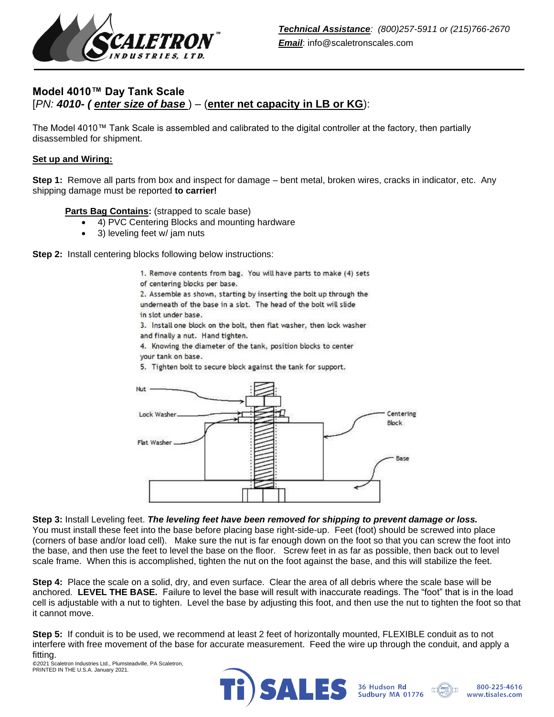

# **Model 4010™ Day Tank Scale** [*PN: 4010- ( enter size of base* ) – (**enter net capacity in LB or KG**):

The Model 4010™ Tank Scale is assembled and calibrated to the digital controller at the factory, then partially disassembled for shipment.

#### **Set up and Wiring:**

**Step 1:** Remove all parts from box and inspect for damage – bent metal, broken wires, cracks in indicator, etc. Any shipping damage must be reported **to carrier!**

**Parts Bag Contains:** (strapped to scale base)

- 4) PVC Centering Blocks and mounting hardware
- 3) leveling feet w/ jam nuts

**Step 2:** Install centering blocks following below instructions:

1. Remove contents from bag. You will have parts to make (4) sets of centering blocks per base.

2. Assemble as shown, starting by inserting the bolt up through the underneath of the base in a slot. The head of the bolt will slide in slot under base.

3. Install one block on the bolt, then flat washer, then lock washer and finally a nut. Hand tighten.

4. Knowing the diameter of the tank, position blocks to center your tank on base.

5. Tighten bolt to secure block against the tank for support.



**Step 3:** Install Leveling feet. *The leveling feet have been removed for shipping to prevent damage or loss.*  You must install these feet into the base before placing base right-side-up. Feet (foot) should be screwed into place (corners of base and/or load cell). Make sure the nut is far enough down on the foot so that you can screw the foot into the base, and then use the feet to level the base on the floor. Screw feet in as far as possible, then back out to level scale frame. When this is accomplished, tighten the nut on the foot against the base, and this will stabilize the feet.

**Step 4:** Place the scale on a solid, dry, and even surface. Clear the area of all debris where the scale base will be anchored. **LEVEL THE BASE.** Failure to level the base will result with inaccurate readings. The "foot" that is in the load cell is adjustable with a nut to tighten. Level the base by adjusting this foot, and then use the nut to tighten the foot so that it cannot move.

**Step 5:** If conduit is to be used, we recommend at least 2 feet of horizontally mounted, FLEXIBLE conduit as to not interfere with free movement of the base for accurate measurement. Feed the wire up through the conduit, and apply a fitting.

©2021 Scaletron Industries Ltd., Plumsteadville, PA Scaletron, PRINTED IN THE U.S.A. January 2021.